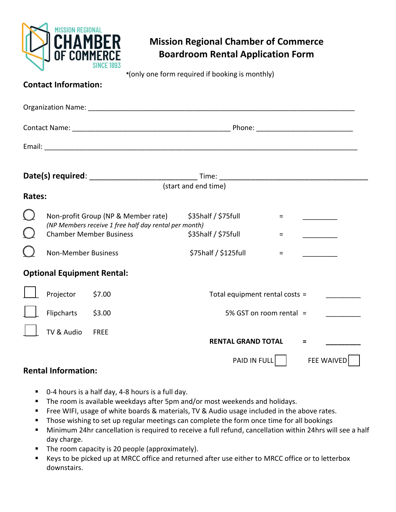

## **Mission Regional Chamber of Commerce Boardroom Rental Application Form**

**\***(only one form required if booking is monthly)

| <b>Contact Information:</b> |  |
|-----------------------------|--|
|                             |  |

|        |                                   |                                                                                                                                | (start and end time)                           |        |                   |
|--------|-----------------------------------|--------------------------------------------------------------------------------------------------------------------------------|------------------------------------------------|--------|-------------------|
| Rates: |                                   |                                                                                                                                |                                                |        |                   |
|        |                                   | Non-profit Group (NP & Member rate)<br>(NP Members receive 1 free half day rental per month)<br><b>Chamber Member Business</b> | $$35$ half / $$75$ full<br>\$35half / \$75full | =<br>= |                   |
|        | <b>Non-Member Business</b>        |                                                                                                                                | \$75half / \$125full                           | $=$    |                   |
|        | <b>Optional Equipment Rental:</b> |                                                                                                                                |                                                |        |                   |
|        | Projector                         | \$7.00                                                                                                                         | Total equipment rental costs =                 |        |                   |
|        | Flipcharts                        | \$3.00                                                                                                                         | 5% GST on room rental =                        |        |                   |
|        | TV & Audio                        | <b>FREE</b>                                                                                                                    | <b>RENTAL GRAND TOTAL</b>                      |        | $\equiv$          |
|        |                                   |                                                                                                                                | PAID IN FULL                                   |        | <b>FEE WAIVED</b> |

## **Rental Information:**

- 0-4 hours is a half day, 4-8 hours is a full day.
- **The room is available weekdays after 5pm and/or most weekends and holidays.**
- **FIM** Free WIFI, usage of white boards & materials, TV & Audio usage included in the above rates.
- **Those wishing to set up regular meetings can complete the form once time for all bookings**
- Minimum 24hr cancellation is required to receive a full refund, cancellation within 24hrs will see a half day charge.
- The room capacity is 20 people (approximately).
- Keys to be picked up at MRCC office and returned after use either to MRCC office or to letterbox downstairs.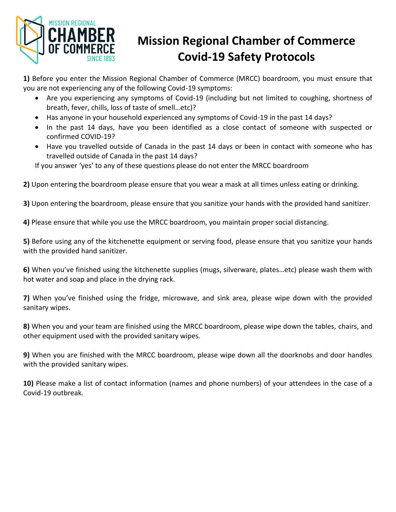

## **Mission Regional Chamber of Commerce Covid-19 Safety Protocols**

**1)** Before you enter the Mission Regional Chamber of Commerce (MRCC) boardroom, you must ensure that you are not experiencing any of the following Covid-19 symptoms:

- Are you experiencing any symptoms of Covid-19 (including but not limited to coughing, shortness of breath, fever, chills, loss of taste of smell…etc)?
- Has anyone in your household experienced any symptoms of Covid-19 in the past 14 days?
- In the past 14 days, have you been identified as a close contact of someone with suspected or confirmed COVID-19?
- Have you travelled outside of Canada in the past 14 days or been in contact with someone who has travelled outside of Canada in the past 14 days?

If you answer 'yes' to any of these questions please do not enter the MRCC boardroom

**2)** Upon entering the boardroom please ensure that you wear a mask at all times unless eating or drinking.

**3)** Upon entering the boardroom, please ensure that you sanitize your hands with the provided hand sanitizer.

**4)** Please ensure that while you use the MRCC boardroom, you maintain proper social distancing.

**5)** Before using any of the kitchenette equipment or serving food, please ensure that you sanitize your hands with the provided hand sanitizer.

**6)** When you've finished using the kitchenette supplies (mugs, silverware, plates…etc) please wash them with hot water and soap and place in the drying rack.

**7)** When you've finished using the fridge, microwave, and sink area, please wipe down with the provided sanitary wipes.

**8)** When you and your team are finished using the MRCC boardroom, please wipe down the tables, chairs, and other equipment used with the provided sanitary wipes.

**9)** When you are finished with the MRCC boardroom, please wipe down all the doorknobs and door handles with the provided sanitary wipes.

**10)** Please make a list of contact information (names and phone numbers) of your attendees in the case of a Covid-19 outbreak.